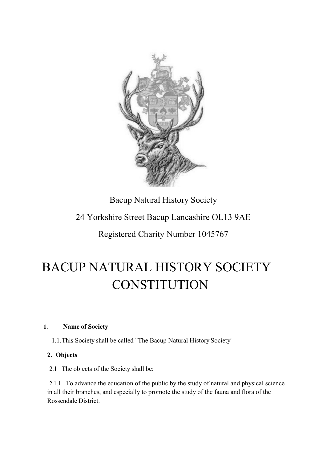

# Bacup Natural History Society 24 Yorkshire Street Bacup Lancashire OL13 9AE

Registered Charity Number 1045767

# BACUP NATURAL HISTORY SOCIETY **CONSTITUTION**

## **1. Name of Society**

1.1.This Society shall be called "The Bacup Natural History Society'

# **2. Objects**

2.1 The objects of the Society shall be:

2.1.1 To advance the education of the public by the study of natural and physical science in all their branches, and especially to promote the study of the fauna and flora of the Rossendale District.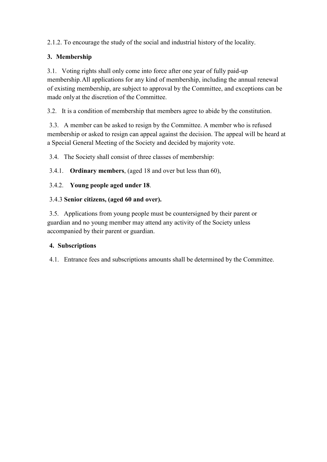2.1.2. To encourage the study of the social and industrial history of the locality.

## **3. Membership**

3.1. Voting rights shall only come into force after one year of fully paid-up membership. All applications for any kind of membership, including the annual renewal of existing membership, are subject to approval by the Committee, and exceptions can be made only at the discretion of the Committee.

3.2. It is a condition of membership that members agree to abide by the constitution.

3.3. A member can be asked to resign by the Committee. A member who is refused membership or asked to resign can appeal against the decision. The appeal will be heard at a Special General Meeting of the Society and decided by majority vote.

3.4. The Society shall consist of three classes of membership:

3.4.1. **Ordinary members**, (aged 18 and over but less than 60),

#### 3.4.2. **Young people aged under 18**.

#### 3.4.3 **Senior citizens, (aged 60 and over).**

3.5. Applications from young people must be countersigned by their parent or guardian and no young member may attend any activity of the Society unless accompanied by their parent or guardian.

#### **4. Subscriptions**

4.1. Entrance fees and subscriptions amounts shall be determined by the Committee.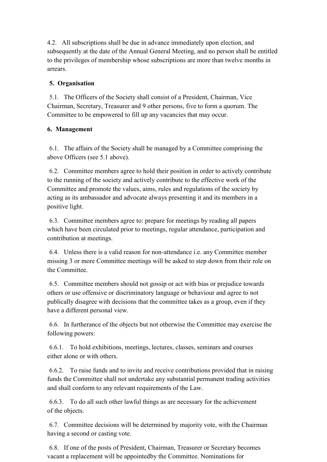4.2. All subscriptions shall be due in advance immediately upon election, and subsequently at the date of the Annual General Meeting, and no person shall be entitled to the privileges of membership whose subscriptions are more than twelve months in arrears.

#### **5. Organisation**

5.1. The Officers of the Society shall consist of a President, Chairman, Vice Chairman, Secretary, Treasurer and 9 other persons, five to form a quorum. The Committee to be empowered to fill up any vacancies that may occur.

#### **6. Management**

6.1. The affairs of the Society shall be managed by a Committee comprising the above Officers (see 5.1 above).

6.2. Committee members agree to hold their position in order to actively contribute to the running of the society and actively contribute to the effective work of the Committee and promote the values, aims, rules and regulations of the society by acting as its ambassador and advocate always presenting it and its members in a positive light.

6.3. Committee members agree to: prepare for meetings by reading all papers which have been circulated prior to meetings, regular attendance, participation and contribution at meetings.

6.4. Unless there is a valid reason for non-attendance i.e. any Committee member missing 3 or more Committee meetings will be asked to step down from their role on the Committee.

6.5. Committee members should not gossip or act with bias or prejudice towards others or use offensive or discriminatory language or behaviour and agree to not publically disagree with decisions that the committee takes as a group, even if they have a different personal view.

6.6. In furtherance of the objects but not otherwise the Committee may exercise the following powers:

6.6.1. To hold exhibitions, meetings, lectures, classes, seminars and courses either alone or with others.

6.6.2. To raise funds and to invite and receive contributions provided that in raising funds the Committee shall not undertake any substantial permanent trading activities and shall conform to any relevant requirements of the Law.

6.6.3. To do all such other lawful things as are necessary for the achievement of the objects.

6.7. Committee decisions will be determined by majority vote, with the Chairman having a second or casting vote.

6.8. If one of the posts of President, Chairman, Treasurer or Secretary becomes vacant a replacement will be appointedby the Committee. Nominations for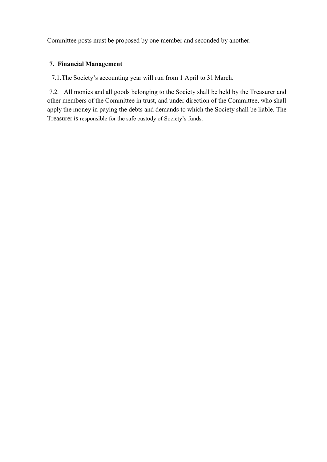Committee posts must be proposed by one member and seconded by another.

#### **7. Financial Management**

7.1.The Society's accounting year will run from 1 April to 31 March.

7.2. All monies and all goods belonging to the Society shall be held by the Treasurer and other members of the Committee in trust, and under direction of the Committee, who shall apply the money in paying the debts and demands to which the Society shall be liable. The Treasurer is responsible for the safe custody of Society's funds.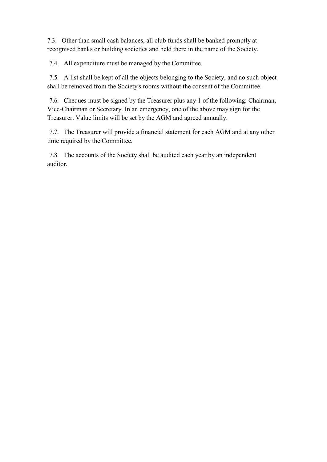7.3. Other than small cash balances, all club funds shall be banked promptly at recognised banks or building societies and held there in the name of the Society.

7.4. All expenditure must be managed by the Committee.

7.5. A list shall be kept of all the objects belonging to the Society, and no such object shall be removed from the Society's rooms without the consent of the Committee.

7.6. Cheques must be signed by the Treasurer plus any 1 of the following: Chairman, Vice-Chairman or Secretary. In an emergency, one of the above may sign for the Treasurer. Value limits will be set by the AGM and agreed annually.

7.7. The Treasurer will provide a financial statement for each AGM and at any other time required by the Committee.

7.8. The accounts of the Society shall be audited each year by an independent auditor.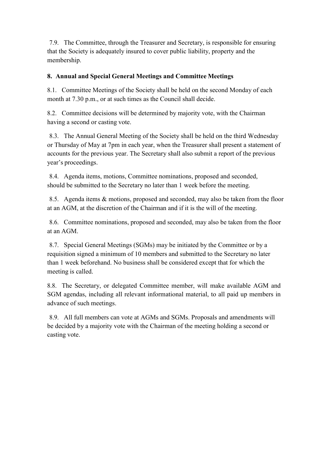7.9. The Committee, through the Treasurer and Secretary, is responsible for ensuring that the Society is adequately insured to cover public liability, property and the membership.

#### **8. Annual and Special General Meetings and Committee Meetings**

8.1. Committee Meetings of the Society shall be held on the second Monday of each month at 7.30 p.m., or at such times as the Council shall decide.

8.2. Committee decisions will be determined by majority vote, with the Chairman having a second or casting vote.

8.3. The Annual General Meeting of the Society shall be held on the third Wednesday or Thursday of May at 7pm in each year, when the Treasurer shall present a statement of accounts for the previous year. The Secretary shall also submit a report of the previous year's proceedings.

8.4. Agenda items, motions, Committee nominations, proposed and seconded, should be submitted to the Secretary no later than 1 week before the meeting.

8.5. Agenda items & motions, proposed and seconded, may also be taken from the floor at an AGM, at the discretion of the Chairman and if it is the will of the meeting.

8.6. Committee nominations, proposed and seconded, may also be taken from the floor at an AGM.

8.7. Special General Meetings (SGMs) may be initiated by the Committee or by a requisition signed a minimum of 10 members and submitted to the Secretary no later than 1 week beforehand. No business shall be considered except that for which the meeting is called.

8.8. The Secretary, or delegated Committee member, will make available AGM and SGM agendas, including all relevant informational material, to all paid up members in advance of such meetings.

8.9. All full members can vote at AGMs and SGMs. Proposals and amendments will be decided by a majority vote with the Chairman of the meeting holding a second or casting vote.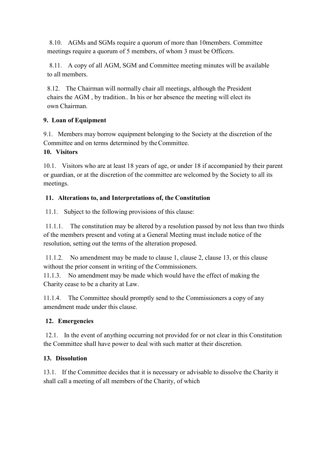8.10. AGMs and SGMs require a quorum of more than 10members. Committee meetings require a quorum of 5 members, of whom 3 must be Officers.

8.11. A copy of all AGM, SGM and Committee meeting minutes will be available to all members.

8.12. The Chairman will normally chair all meetings, although the President chairs the AGM , by tradition.. In his or her absence the meeting will elect its own Chairman.

# **9. Loan of Equipment**

9.1. Members may borrow equipment belonging to the Society at the discretion of the Committee and on terms determined by theCommittee.

#### **10. Visitors**

10.1. Visitors who are at least 18 years of age, or under 18 if accompanied by their parent or guardian, or at the discretion of the committee are welcomed by the Society to all its meetings.

# **11. Alterations to, and Interpretations of, the Constitution**

11.1. Subject to the following provisions of this clause:

11.1.1. The constitution may be altered by a resolution passed by not less than two thirds of the members present and voting at a General Meeting must include notice of the resolution, setting out the terms of the alteration proposed.

11.1.2. No amendment may be made to clause 1, clause 2, clause 13, or this clause without the prior consent in writing of the Commissioners.

11.1.3. No amendment may be made which would have the effect of making the Charity cease to be a charity at Law.

11.1.4. The Committee should promptly send to the Commissioners a copy of any amendment made under this clause.

# **12. Emergencies**

12.1. In the event of anything occurring not provided for or not clear in this Constitution the Committee shall have power to deal with such matter at their discretion.

# **13. Dissolution**

13.1. If the Committee decides that it is necessary or advisable to dissolve the Charity it shall call a meeting of all members of the Charity, of which